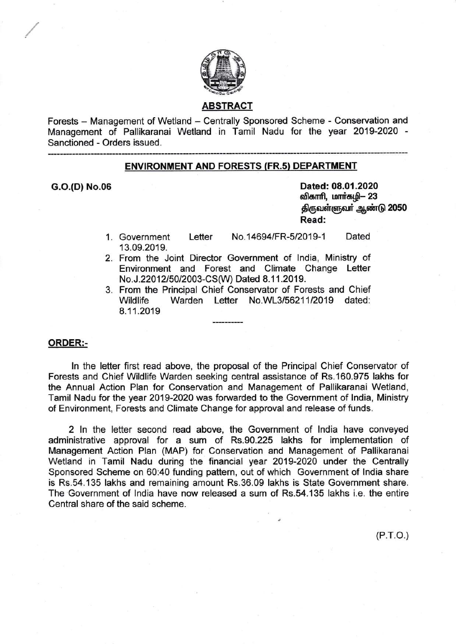

### ABSTRACT

Forests - Management of Wetland - Centrally Sponsored Scheme - Conservation and Management of Pallikaranai Wetland in Tamil Nadu for the year 2019-2020 Sanctioned - Orders issued.

## ENVIRONMENT AND FORESTS (FR.s} DEPARTMENT

G.O.(D) No.06 Dated: 08.01.2020 விகாரி, மார்கழி- 23 திருவள்ளுவர் ஆண்டு 2050 Read:

- Letter No.14694/FR-5/2019-1 Dated 13.09.2019. 1.
- 2. From the Joint Director Government of India, Ministry of Environment and Forest and Climate Change Letter No.J.22012/50/2003-CS(W) Dated 8.11.2019.
- 3. From the Principal Chief Conservator of Forests and Chief Wildlife Warden Letter No.WL3/56211/2019 dated: 8.11.2019

### ORDER:-

ln the letter first read above, the proposal of the Principal Chief Conservator of Forests and Chief Wildlife Warden seeking central assistance of Rs.160.975 lakhs for the Annual Action Plan for Conservation and Management of Pallikaranai Wetland, Tamil Nadu for the year 2019-2020 was forwarded to the Government of lndia, Ministry of Environment, Forests and Climate Change for approval and release of funds.

2 ln the letter second read above, the Government of lndia have conveyed administrative approval for a sum of Rs.90.225 lakhs for implementation of Management Action Plan (MAP) for Conservation and Management of Pallikaranai Wetland in Tamil Nadu during the financial year 2019-2020 under the Centrally Sponsored Scheme on 60:40 funding pattern, out of which Government of lndia share is Rs.54.135 lakhs and remaining amount Rs.36.09 lakhs is State Government share. The Government of lndia have now released a sum of Rs.54.135 lakhs i.e. the entire Central share of the said scheme.

 $(P.T.O.)$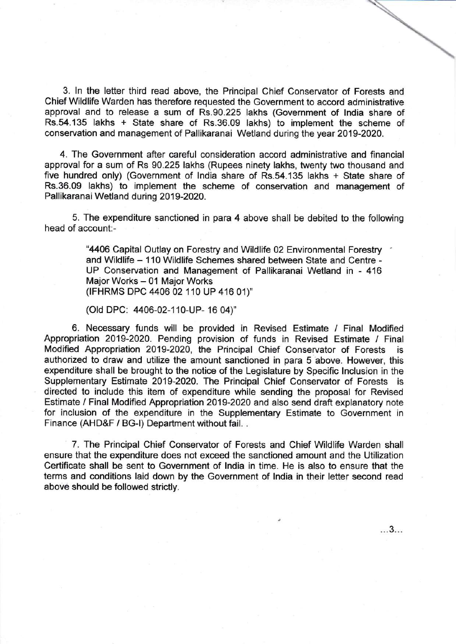3. ln the letter third read above, the Principal Chief Conservator of Forests and Chief Wildlife Warden has therefore requested the Government to accord administrative approval and to release a sum of Rs.90.225 lakhs (Government of lndia share of Rs.54.135 lakhs + State share of Rs.36.09 lakhs) to implement the scheme of conservation and management of Pallikaranai Wetland during the year 2019-2020.

4. The Government after careful consideration accord administrative and financial approval for a sum of Rs 90.225 lakhs (Rupees ninety lakhs, twenty two thousand and five hundred only) (Government of lndia share of Rs.54.135 lakhs + State share of Rs.36.09 lakhs) to implement the scheme of conservation and management of Pallikaranai Wetland during 2019-2020.

5. The expenditure sanctioned in para 4 above shall be debited to the following head of account:-

> "4406 Capital Outlay on Forestry and Wildlife 02 Environmental Forestry and Wildlife - 110 Wildlife Schemes shared between State and Centre -UP Conservation and Management of Pallikaranai Wetland in - <sup>416</sup> Major Works - 01 Major Works (IFHRMS DPC 4406 02 110 UP 416 01)"

(Old DPC: 4406-02-110-UP- 16 04)"

6. Necessary funds will be provided in Revised Estimate / Final Modified Appropriation 2019-2020. Pending provision of funds in Revised Estimate / Final Modified Appropriation 2019-2020, the Principal Chief Conservator of Forests is authorized to draw and utilize the amount sanctioned in para 5 above. However, this expenditure shall be brought to the notice of the Legislature by Specific Inclusion in the Supplementary Estimate 2019-2020. The Principal Chief Conservator of Forests is directed to include this item of expenditure while sending the proposal for Revised Estimate / Final Modified Appropriation 2019-2020 and also send draft explanatory note for inclusion of the expenditure in the Supplementary Estimate to Government in Finance (AHD&F / BG-l) Department without fail. .

7. The Principal Chief Conservator of Forests and Chief Wildlife Warden shall ensure that the expenditure does not exceed the sanctioned amount and the Utilization Certificate shall be sent to Government of lndia in time. He is also to ensure that the terms and conditions laid down by the Government of lndia in their letter second read above should be followed strictly.

...3...